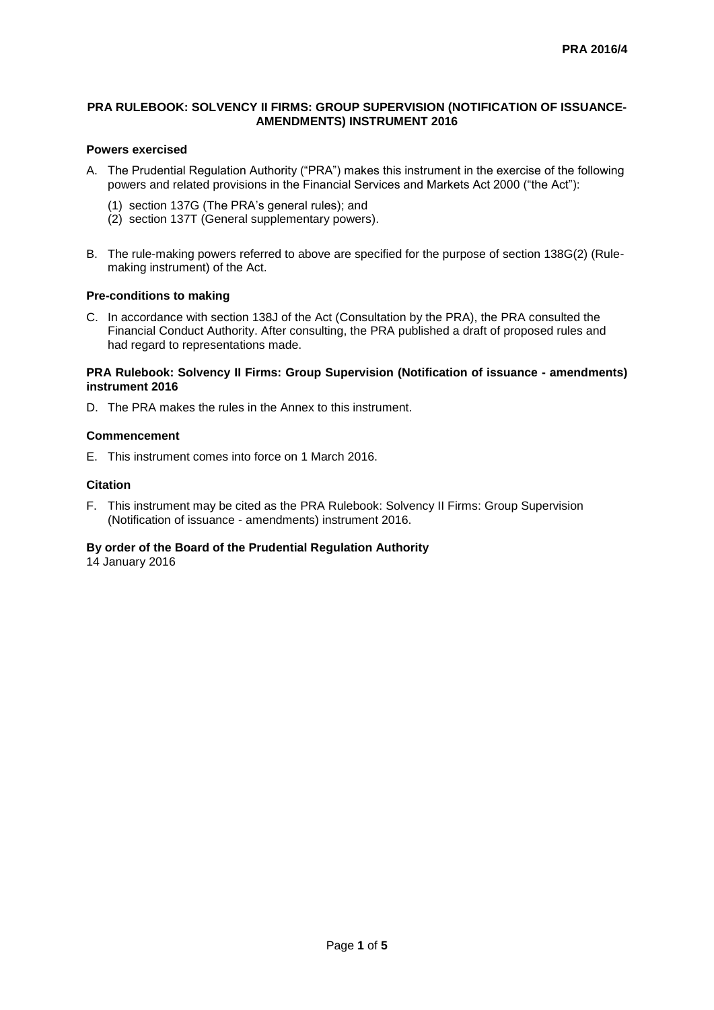### **PRA RULEBOOK: SOLVENCY II FIRMS: GROUP SUPERVISION (NOTIFICATION OF ISSUANCE-AMENDMENTS) INSTRUMENT 2016**

## **Powers exercised**

- A. The Prudential Regulation Authority ("PRA") makes this instrument in the exercise of the following powers and related provisions in the Financial Services and Markets Act 2000 ("the Act"):
	- (1) section 137G (The PRA's general rules); and
	- (2) section 137T (General supplementary powers).
- B. The rule-making powers referred to above are specified for the purpose of section 138G(2) (Rulemaking instrument) of the Act.

#### **Pre-conditions to making**

C. In accordance with section 138J of the Act (Consultation by the PRA), the PRA consulted the Financial Conduct Authority. After consulting, the PRA published a draft of proposed rules and had regard to representations made.

#### **PRA Rulebook: Solvency II Firms: Group Supervision (Notification of issuance - amendments) instrument 2016**

D. The PRA makes the rules in the Annex to this instrument.

### **Commencement**

E. This instrument comes into force on 1 March 2016.

#### **Citation**

F. This instrument may be cited as the PRA Rulebook: Solvency II Firms: Group Supervision (Notification of issuance - amendments) instrument 2016.

## **By order of the Board of the Prudential Regulation Authority**

14 January 2016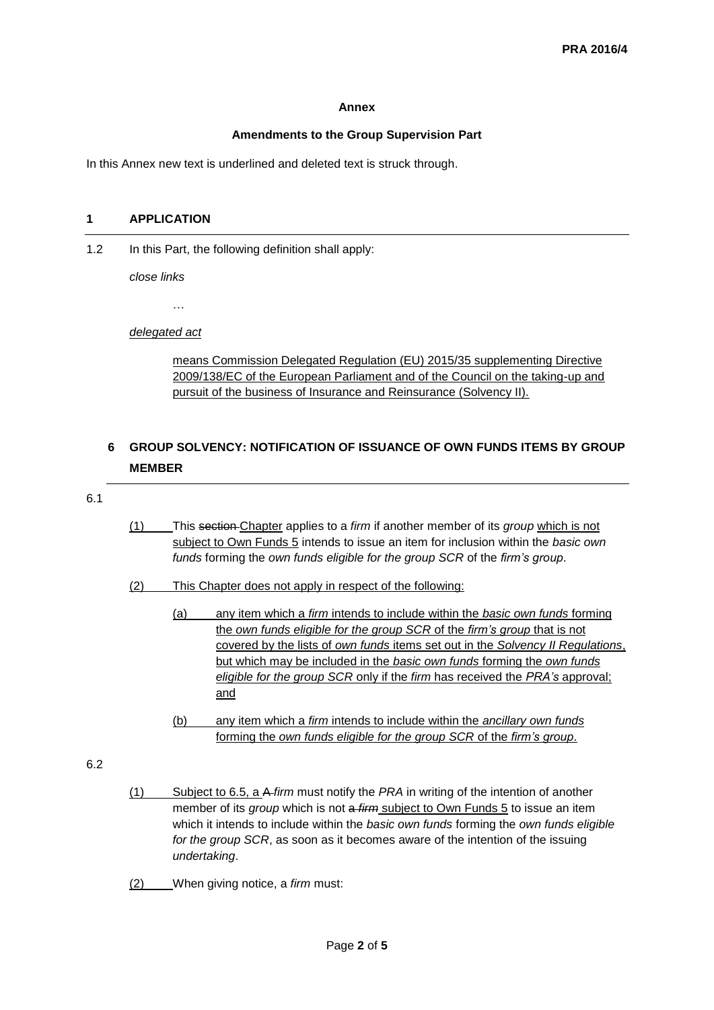#### **Annex**

## **Amendments to the Group Supervision Part**

In this Annex new text is underlined and deleted text is struck through.

#### **1 APPLICATION**

1.2 In this Part, the following definition shall apply:

*close links*

…

#### *delegated act*

means Commission Delegated Regulation (EU) 2015/35 supplementing Directive 2009/138/EC of the European Parliament and of the Council on the taking-up and pursuit of the business of Insurance and Reinsurance (Solvency II).

# **6 GROUP SOLVENCY: NOTIFICATION OF ISSUANCE OF OWN FUNDS ITEMS BY GROUP MEMBER**

#### 6.1

- (1) This section Chapter applies to a *firm* if another member of its *group* which is not subject to Own Funds 5 intends to issue an item for inclusion within the *basic own funds* forming the *own funds eligible for the group SCR* of the *firm's group*.
- (2) This Chapter does not apply in respect of the following:
	- (a) any item which a *firm* intends to include within the *basic own funds* forming the *own funds eligible for the group SCR* of the *firm's group* that is not covered by the lists of *own funds* items set out in the *Solvency II Regulations*, but which may be included in the *basic own funds* forming the *own funds eligible for the group SCR* only if the *firm* has received the *PRA's* approval; and
	- (b) any item which a *firm* intends to include within the *ancillary own funds* forming the *own funds eligible for the group SCR* of the *firm's group*.
- 6.2
- (1) Subject to 6.5, a A *firm* must notify the *PRA* in writing of the intention of another member of its *group* which is not a *firm* subject to Own Funds 5 to issue an item which it intends to include within the *basic own funds* forming the *own funds eligible for the group SCR*, as soon as it becomes aware of the intention of the issuing *undertaking*.
- (2) When giving notice, a *firm* must: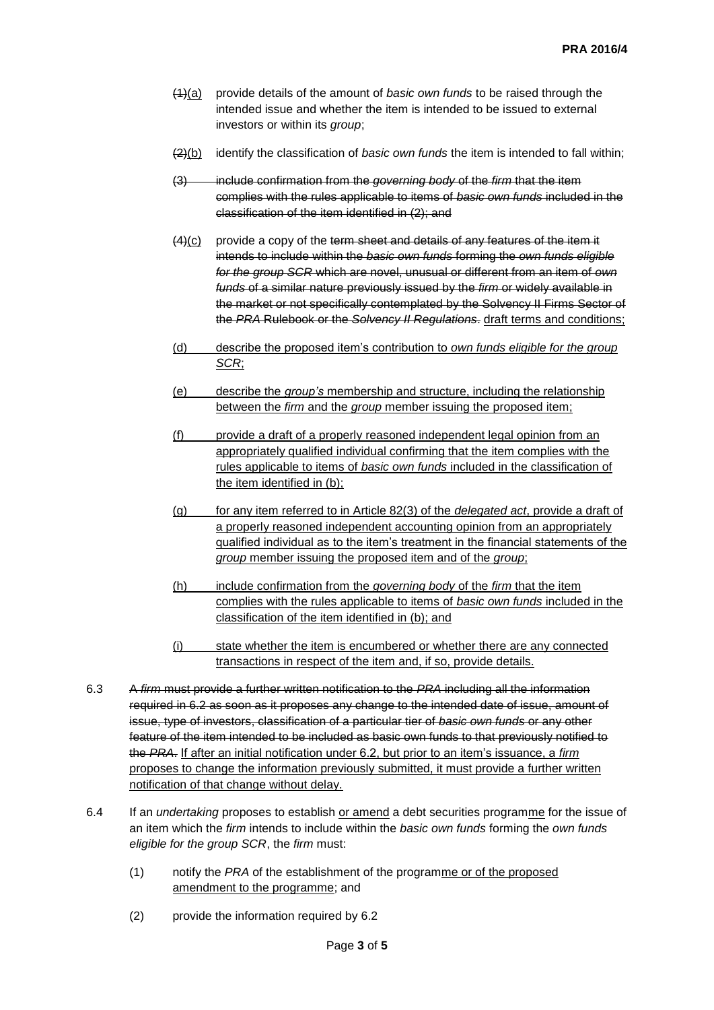- (1)(a) provide details of the amount of *basic own funds* to be raised through the intended issue and whether the item is intended to be issued to external investors or within its *group*;
- (2)(b) identify the classification of *basic own funds* the item is intended to fall within;
- (3) include confirmation from the *governing body* of the *firm* that the item complies with the rules applicable to items of *basic own funds* included in the classification of the item identified in (2); and
- $(4)(c)$  provide a copy of the term sheet and details of any features of the item it intends to include within the *basic own funds* forming the *own funds eligible for the group SCR* which are novel, unusual or different from an item of *own funds* of a similar nature previously issued by the *firm* or widely available in the market or not specifically contemplated by the Solvency II Firms Sector of the *PRA* Rulebook or the *Solvency II Regulations*. draft terms and conditions;
- (d) describe the proposed item's contribution to *own funds eligible for the group SCR*;
- (e) describe the *group's* membership and structure, including the relationship between the *firm* and the *group* member issuing the proposed item;
- (f) provide a draft of a properly reasoned independent legal opinion from an appropriately qualified individual confirming that the item complies with the rules applicable to items of *basic own funds* included in the classification of the item identified in (b);
- (g) for any item referred to in Article 82(3) of the *delegated act*, provide a draft of a properly reasoned independent accounting opinion from an appropriately qualified individual as to the item's treatment in the financial statements of the *group* member issuing the proposed item and of the *group*;
- (h) include confirmation from the *governing body* of the *firm* that the item complies with the rules applicable to items of *basic own funds* included in the classification of the item identified in (b); and
- (i) state whether the item is encumbered or whether there are any connected transactions in respect of the item and, if so, provide details.
- 6.3 A *firm* must provide a further written notification to the *PRA* including all the information required in 6.2 as soon as it proposes any change to the intended date of issue, amount of issue, type of investors, classification of a particular tier of *basic own funds* or any other feature of the item intended to be included as basic own funds to that previously notified to the *PRA*. If after an initial notification under 6.2, but prior to an item's issuance, a *firm* proposes to change the information previously submitted, it must provide a further written notification of that change without delay.
- 6.4 If an *undertaking* proposes to establish or amend a debt securities programme for the issue of an item which the *firm* intends to include within the *basic own funds* forming the *own funds eligible for the group SCR*, the *firm* must:
	- (1) notify the *PRA* of the establishment of the programme or of the proposed amendment to the programme; and
	- (2) provide the information required by 6.2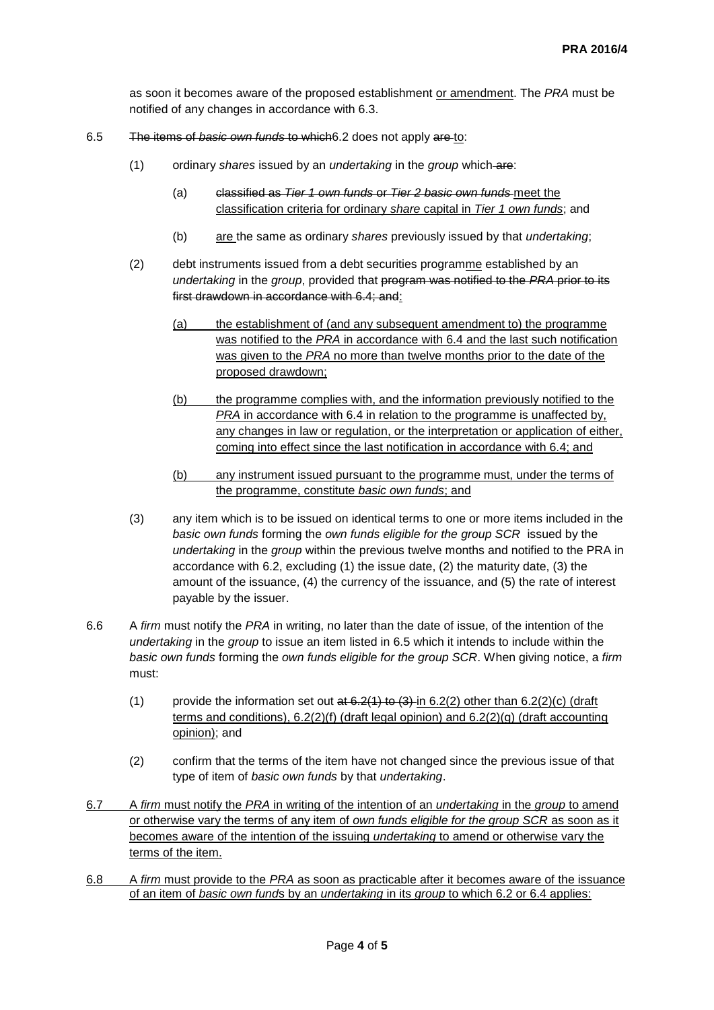as soon it becomes aware of the proposed establishment or amendment. The *PRA* must be notified of any changes in accordance with 6.3.

- 6.5 The items of *basic own funds* to which6.2 does not apply are to:
	- (1) ordinary *shares* issued by an *undertaking* in the *group* which are:
		- (a) classified as *Tier 1 own funds* or *Tier 2 basic own funds* meet the classification criteria for ordinary *share* capital in *Tier 1 own funds*; and
		- (b) are the same as ordinary *shares* previously issued by that *undertaking*;
	- (2) debt instruments issued from a debt securities programme established by an *undertaking* in the *group*, provided that program was notified to the *PRA* prior to its first drawdown in accordance with 6.4; and:
		- (a) the establishment of (and any subsequent amendment to) the programme was notified to the *PRA* in accordance with 6.4 and the last such notification was given to the *PRA* no more than twelve months prior to the date of the proposed drawdown;
		- (b) the programme complies with, and the information previously notified to the *PRA* in accordance with 6.4 in relation to the programme is unaffected by, any changes in law or regulation, or the interpretation or application of either, coming into effect since the last notification in accordance with 6.4; and
		- (b) any instrument issued pursuant to the programme must, under the terms of the programme, constitute *basic own funds*; and
	- (3) any item which is to be issued on identical terms to one or more items included in the *basic own funds* forming the *own funds eligible for the group SCR* issued by the *undertaking* in the *group* within the previous twelve months and notified to the PRA in accordance with 6.2, excluding (1) the issue date, (2) the maturity date, (3) the amount of the issuance, (4) the currency of the issuance, and (5) the rate of interest payable by the issuer.
- 6.6 A *firm* must notify the *PRA* in writing, no later than the date of issue, of the intention of the *undertaking* in the *group* to issue an item listed in 6.5 which it intends to include within the *basic own funds* forming the *own funds eligible for the group SCR*. When giving notice, a *firm* must:
	- (1) provide the information set out at  $6.2(1)$  to  $(3)$ -in  $6.2(2)$  other than  $6.2(2)(c)$  (draft terms and conditions), 6.2(2)(f) (draft legal opinion) and 6.2(2)(g) (draft accounting opinion); and
	- (2) confirm that the terms of the item have not changed since the previous issue of that type of item of *basic own funds* by that *undertaking*.
- 6.7 A *firm* must notify the *PRA* in writing of the intention of an *undertaking* in the *group* to amend or otherwise vary the terms of any item of *own funds eligible for the group SCR* as soon as it becomes aware of the intention of the issuing *undertaking* to amend or otherwise vary the terms of the item.
- 6.8 A *firm* must provide to the *PRA* as soon as practicable after it becomes aware of the issuance of an item of *basic own fund*s by an *undertaking* in its *group* to which 6.2 or 6.4 applies: